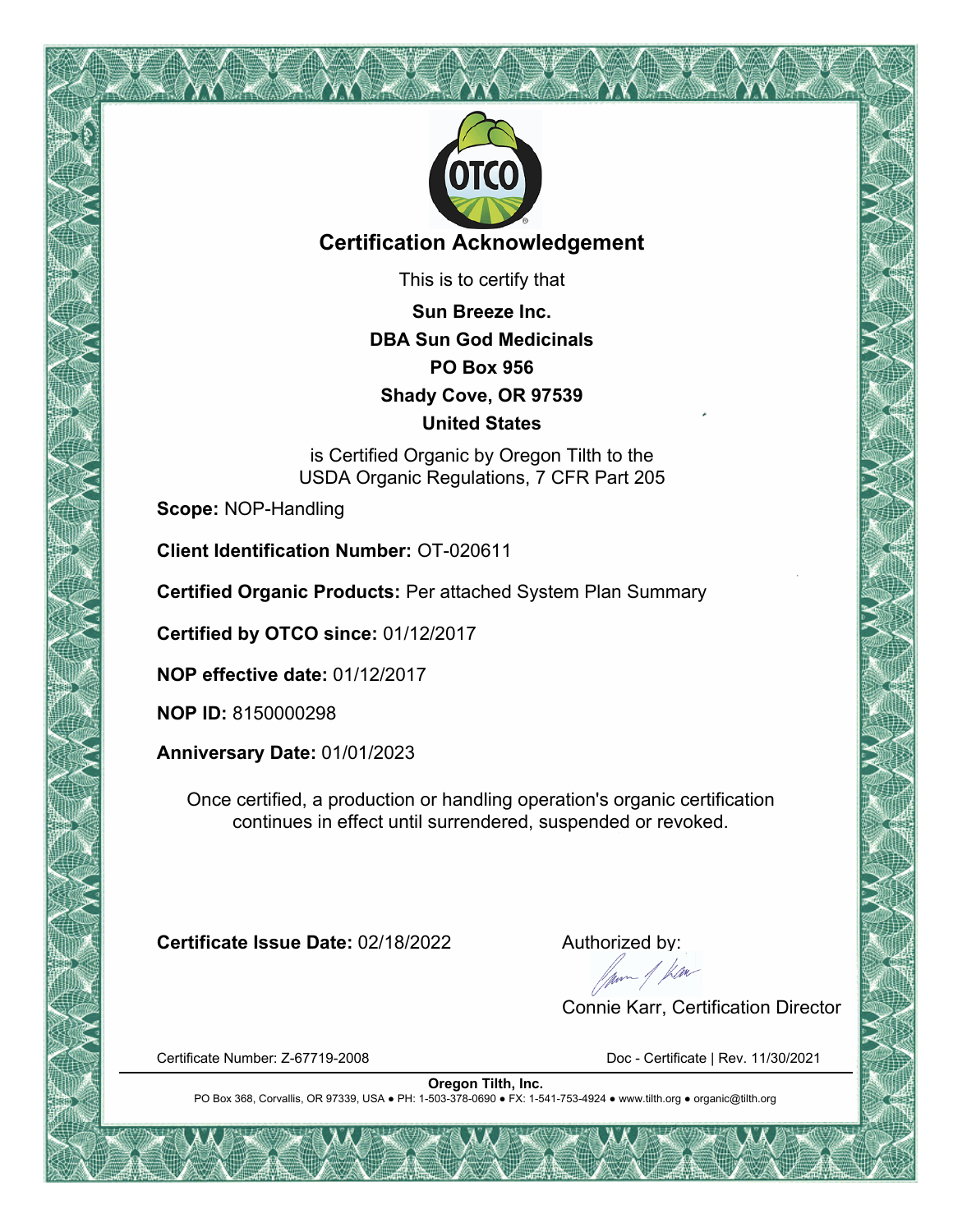

#### **Certification Acknowledgement**

This is to certify that

**Sun Breeze Inc. DBA Sun God Medicinals PO Box 956 Shady Cove, OR 97539 United States**

is Certified Organic by Oregon Tilth to the USDA Organic Regulations, 7 CFR Part 205

**Scope:** NOP-Handling

**Client Identification Number:** OT-020611

**Certified Organic Products:** Per attached System Plan Summary

**Certified by OTCO since:** 01/12/2017

**NOP effective date:** 01/12/2017

**NOP ID:** 8150000298

**Anniversary Date:** 01/01/2023

Once certified, a production or handling operation's organic certification continues in effect until surrendered, suspended or revoked.

**Certificate Issue Date:** 02/18/2022 Authorized by:<br>Authorized by:<br>Alternative data by:

Connie Karr, Certification Director

Certificate Number: Z-67719-2008 Doc - Certificate | Rev. 11/30/2021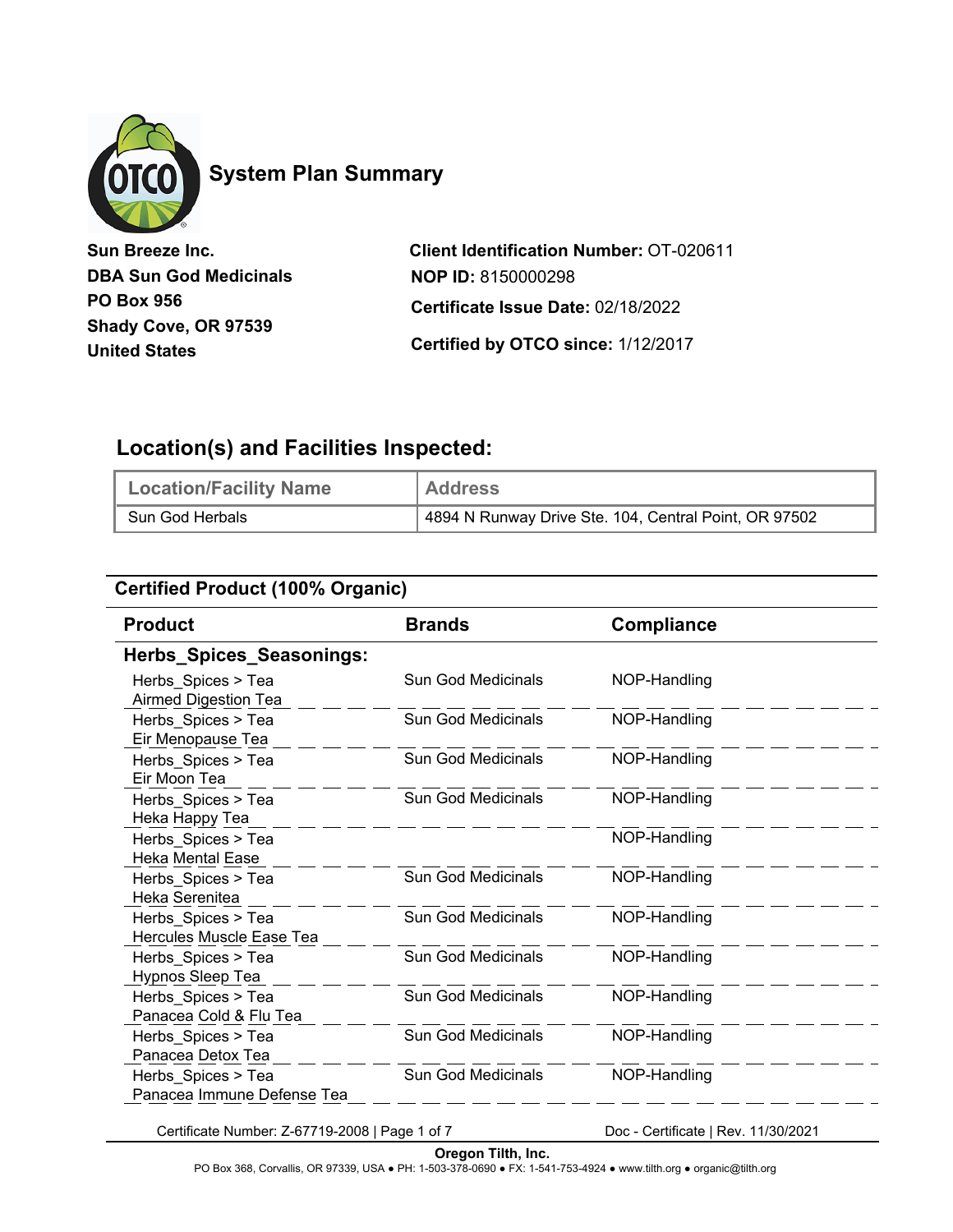

### **System Plan Summary**

**Sun Breeze Inc. DBA Sun God Medicinals PO Box 956 Shady Cove, OR 97539 United States**

**Client Identification Number:** OT-020611 **Certified by OTCO since:** 1/12/2017 **Certificate Issue Date:** 02/18/2022 **NOP ID:** 8150000298

#### **Location(s) and Facilities Inspected:**

| <b>Location/Facility Name</b> | <b>Address</b>                                        |
|-------------------------------|-------------------------------------------------------|
| Sun God Herbals               | 4894 N Runway Drive Ste. 104, Central Point, OR 97502 |

#### **Certified Product (100% Organic)**

| <b>Product</b>                                   | <b>Brands</b>             | <b>Compliance</b> |
|--------------------------------------------------|---------------------------|-------------------|
| Herbs_Spices_Seasonings:                         |                           |                   |
| Herbs Spices > Tea<br>Airmed Digestion Tea       | <b>Sun God Medicinals</b> | NOP-Handling      |
| Herbs_Spices > Tea<br>Eir Menopause Tea          | <b>Sun God Medicinals</b> | NOP-Handling      |
| Herbs Spices > Tea<br>Eir Moon Tea               | <b>Sun God Medicinals</b> | NOP-Handling      |
| Herbs Spices > Tea<br>Heka Happy Tea             | Sun God Medicinals        | NOP-Handling      |
| Herbs Spices > Tea<br><b>Heka Mental Ease</b>    |                           | NOP-Handling      |
| Herbs Spices > Tea<br>Heka Serenitea             | <b>Sun God Medicinals</b> | NOP-Handling      |
| Herbs Spices > Tea<br>Hercules Muscle Ease Tea   | <b>Sun God Medicinals</b> | NOP-Handling      |
| Herbs_Spices > Tea<br>Hypnos Sleep Tea           | <b>Sun God Medicinals</b> | NOP-Handling      |
| Herbs Spices > Tea<br>Panacea Cold & Flu Tea     | Sun God Medicinals        | NOP-Handling      |
| Herbs Spices > Tea<br>Panacea Detox Tea          | <b>Sun God Medicinals</b> | NOP-Handling      |
| Herbs_Spices > Tea<br>Panacea Immune Defense Tea | <b>Sun God Medicinals</b> | NOP-Handling      |

Certificate Number: Z-67719-2008 | Page 1 of 7 Doc - Certificate | Rev. 11/30/2021

**Oregon Tilth, Inc.**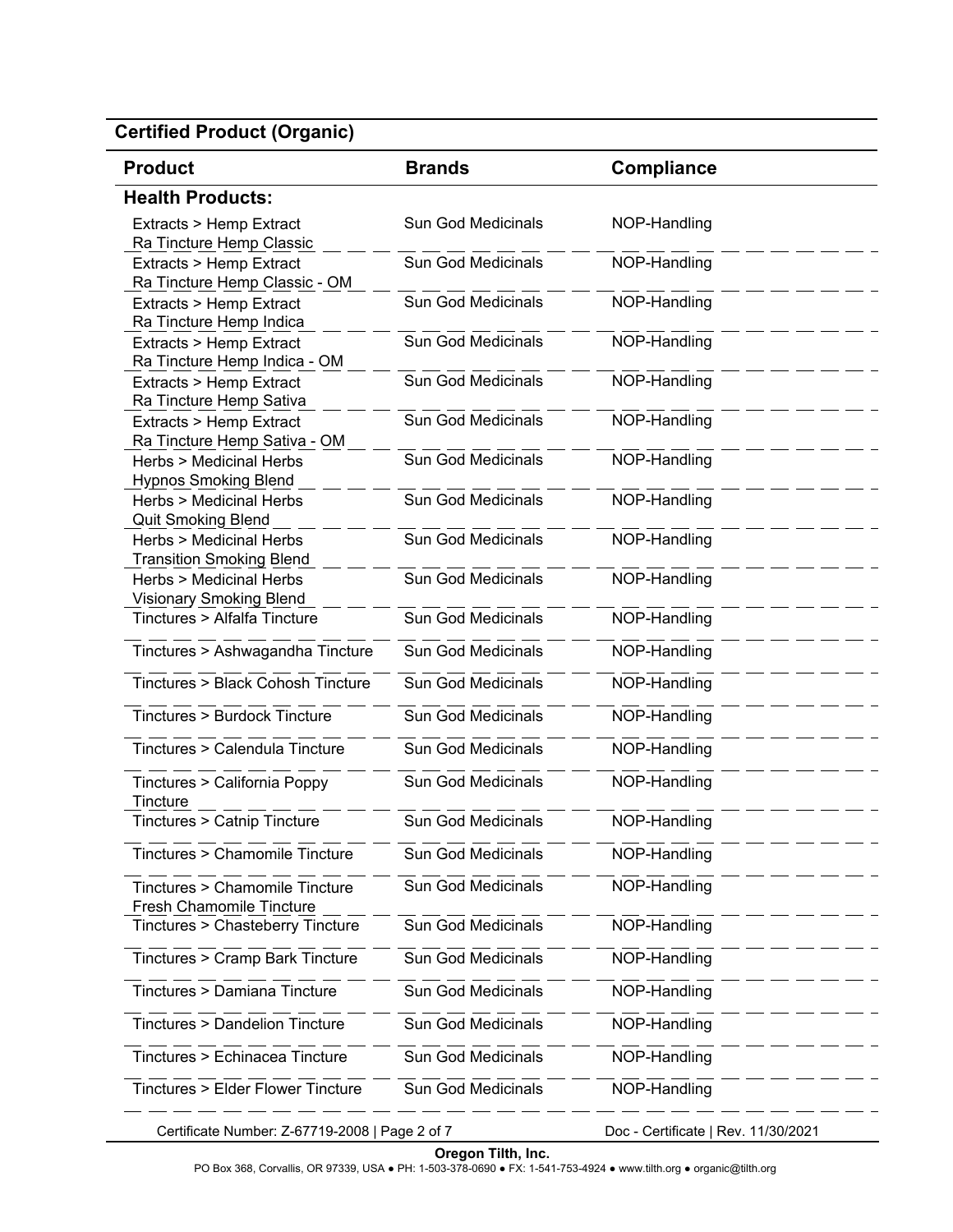| <b>Product</b>                                                    | <b>Brands</b>             | Compliance   |
|-------------------------------------------------------------------|---------------------------|--------------|
| <b>Health Products:</b>                                           |                           |              |
| Extracts > Hemp Extract<br>Ra Tincture Hemp Classic               | <b>Sun God Medicinals</b> | NOP-Handling |
| Extracts > Hemp Extract<br>Ra Tincture Hemp Classic - OM          | <b>Sun God Medicinals</b> | NOP-Handling |
| Extracts > Hemp Extract<br>Ra Tincture Hemp Indica                | Sun God Medicinals        | NOP-Handling |
| Extracts > Hemp Extract<br>Ra Tincture Hemp Indica - OM           | <b>Sun God Medicinals</b> | NOP-Handling |
| Extracts > Hemp Extract<br>Ra Tincture Hemp Sativa                | <b>Sun God Medicinals</b> | NOP-Handling |
| Extracts > Hemp Extract<br>Ra Tincture Hemp Sativa - OM           | <b>Sun God Medicinals</b> | NOP-Handling |
| Herbs > Medicinal Herbs<br><b>Hypnos Smoking Blend</b>            | <b>Sun God Medicinals</b> | NOP-Handling |
| Herbs > Medicinal Herbs<br><b>Quit Smoking Blend</b>              | <b>Sun God Medicinals</b> | NOP-Handling |
| Herbs > Medicinal Herbs<br><b>Transition Smoking Blend</b>        | Sun God Medicinals        | NOP-Handling |
| Herbs > Medicinal Herbs<br><b>Visionary Smoking Blend</b>         | <b>Sun God Medicinals</b> | NOP-Handling |
| Tinctures > Alfalfa Tincture                                      | <b>Sun God Medicinals</b> | NOP-Handling |
| Tinctures > Ashwagandha Tincture                                  | <b>Sun God Medicinals</b> | NOP-Handling |
| <b>Tinctures &gt; Black Cohosh Tincture</b>                       | <b>Sun God Medicinals</b> | NOP-Handling |
| <b>Tinctures &gt; Burdock Tincture</b>                            | Sun God Medicinals        | NOP-Handling |
| Tinctures > Calendula Tincture                                    | <b>Sun God Medicinals</b> | NOP-Handling |
| Tinctures > California Poppy<br>Tincture                          | Sun God Medicinals        | NOP-Handling |
| <b>Tinctures &gt; Catnip Tincture</b>                             | <b>Sun God Medicinals</b> | NOP-Handling |
| Tinctures > Chamomile Tincture                                    | Sun God Medicinals        | NOP-Handling |
| Tinctures > Chamomile Tincture<br><b>Fresh Chamomile Tincture</b> | Sun God Medicinals        | NOP-Handling |
| Tinctures > Chasteberry Tincture                                  | <b>Sun God Medicinals</b> | NOP-Handling |
| <b>Tinctures &gt; Cramp Bark Tincture</b>                         | <b>Sun God Medicinals</b> | NOP-Handling |
| Tinctures > Damiana Tincture                                      | Sun God Medicinals        | NOP-Handling |
| <b>Tinctures &gt; Dandelion Tincture</b>                          | <b>Sun God Medicinals</b> | NOP-Handling |
| Tinctures > Echinacea Tincture                                    | Sun God Medicinals        | NOP-Handling |
| <b>Tinctures &gt; Elder Flower Tincture</b>                       | Sun God Medicinals        | NOP-Handling |

Certificate Number: Z-67719-2008 | Page 2 of 7 Doc - Certificate | Rev. 11/30/2021

**Oregon Tilth, Inc.**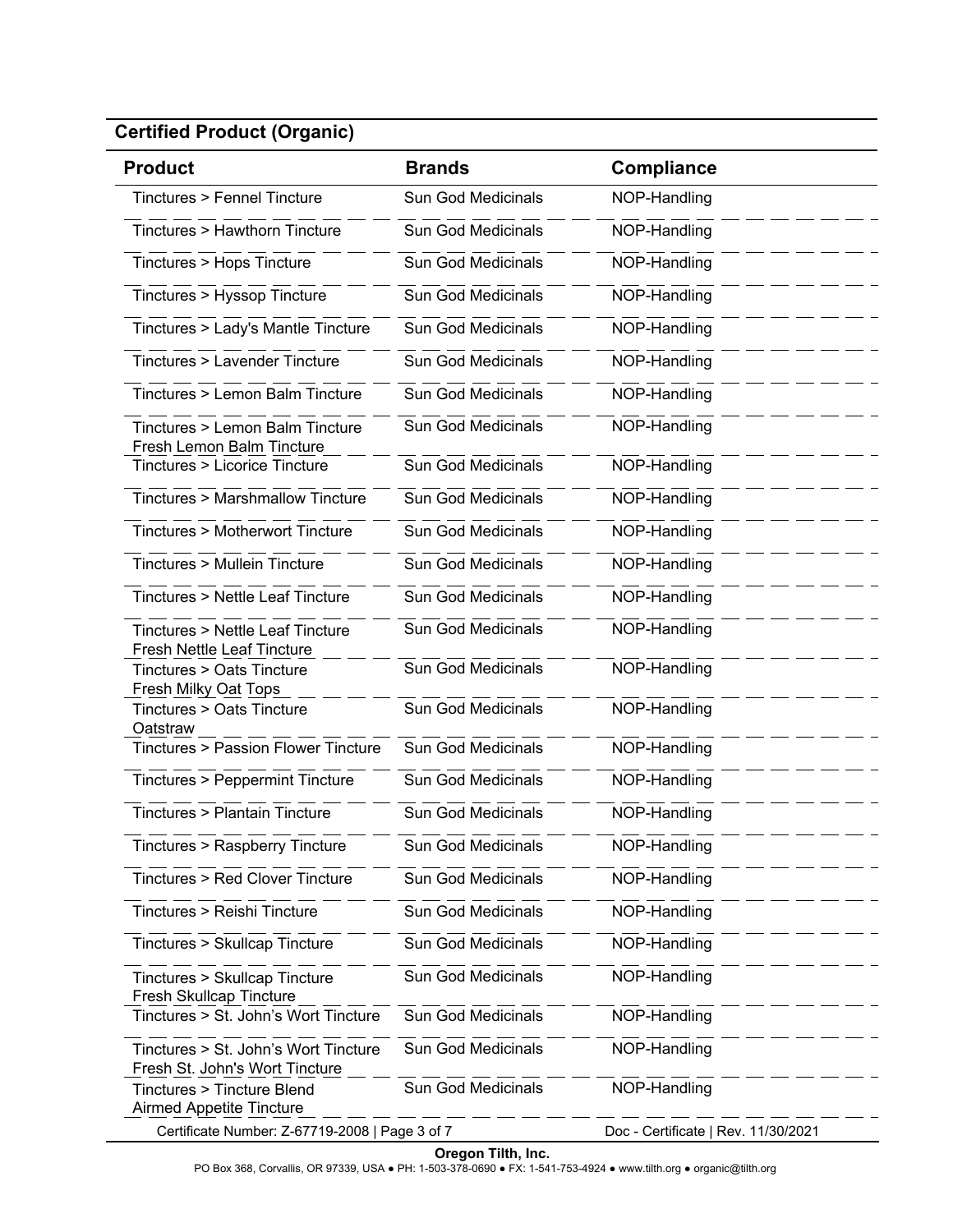| <b>Product</b>                                                           | <b>Brands</b>             | <b>Compliance</b>                   |
|--------------------------------------------------------------------------|---------------------------|-------------------------------------|
| <b>Tinctures &gt; Fennel Tincture</b>                                    | <b>Sun God Medicinals</b> | NOP-Handling                        |
| Tinctures > Hawthorn Tincture                                            | <b>Sun God Medicinals</b> | NOP-Handling                        |
| Tinctures > Hops Tincture                                                | <b>Sun God Medicinals</b> | NOP-Handling                        |
| Tinctures > Hyssop Tincture                                              | <b>Sun God Medicinals</b> | NOP-Handling                        |
| Tinctures > Lady's Mantle Tincture                                       | <b>Sun God Medicinals</b> | NOP-Handling                        |
| Tinctures > Lavender Tincture                                            | <b>Sun God Medicinals</b> | NOP-Handling                        |
| Tinctures > Lemon Balm Tincture                                          | <b>Sun God Medicinals</b> | NOP-Handling                        |
| Tinctures > Lemon Balm Tincture<br>Fresh Lemon Balm Tincture             | Sun God Medicinals        | NOP-Handling                        |
| <b>Tinctures &gt; Licorice Tincture</b>                                  | <b>Sun God Medicinals</b> | NOP-Handling                        |
| <b>Tinctures &gt; Marshmallow Tincture</b>                               | <b>Sun God Medicinals</b> | NOP-Handling                        |
| <b>Tinctures &gt; Motherwort Tincture</b>                                | <b>Sun God Medicinals</b> | NOP-Handling                        |
| <b>Tinctures &gt; Mullein Tincture</b>                                   | <b>Sun God Medicinals</b> | NOP-Handling                        |
| Tinctures > Nettle Leaf Tincture                                         | <b>Sun God Medicinals</b> | NOP-Handling                        |
| <b>Tinctures &gt; Nettle Leaf Tincture</b><br>Fresh Nettle Leaf Tincture | Sun God Medicinals        | NOP-Handling                        |
| <b>Tinctures &gt; Oats Tincture</b><br>Fresh Milky Oat Tops              | Sun God Medicinals        | NOP-Handling                        |
| <b>Tinctures &gt; Oats Tincture</b><br>Oatstraw                          | Sun God Medicinals        | NOP-Handling                        |
| <b>Tinctures &gt; Passion Flower Tincture</b>                            | <b>Sun God Medicinals</b> | NOP-Handling                        |
| <b>Tinctures &gt; Peppermint Tincture</b>                                | Sun God Medicinals        | NOP-Handling                        |
| <b>Tinctures &gt; Plantain Tincture</b>                                  | Sun God Medicinals        | NOP-Handling                        |
| Tinctures > Raspberry Tincture                                           | <b>Sun God Medicinals</b> | NOP-Handling                        |
| <b>Tinctures &gt; Red Clover Tincture</b>                                | Sun God Medicinals        | NOP-Handling                        |
| Tinctures > Reishi Tincture                                              | Sun God Medicinals        | NOP-Handling                        |
| <b>Tinctures &gt; Skullcap Tincture</b>                                  | <b>Sun God Medicinals</b> | NOP-Handling                        |
| Tinctures > Skullcap Tincture<br>Fresh Skullcap Tincture                 | <b>Sun God Medicinals</b> | NOP-Handling                        |
| Tinctures > St. John's Wort Tincture                                     | <b>Sun God Medicinals</b> | NOP-Handling                        |
| Tinctures > St. John's Wort Tincture<br>Fresh St. John's Wort Tincture   | Sun God Medicinals        | NOP-Handling                        |
| <b>Tinctures &gt; Tincture Blend</b><br><b>Airmed Appetite Tincture</b>  | Sun God Medicinals        | NOP-Handling                        |
| Certificate Number: Z-67719-2008   Page 3 of 7                           |                           | Doc - Certificate   Rev. 11/30/2021 |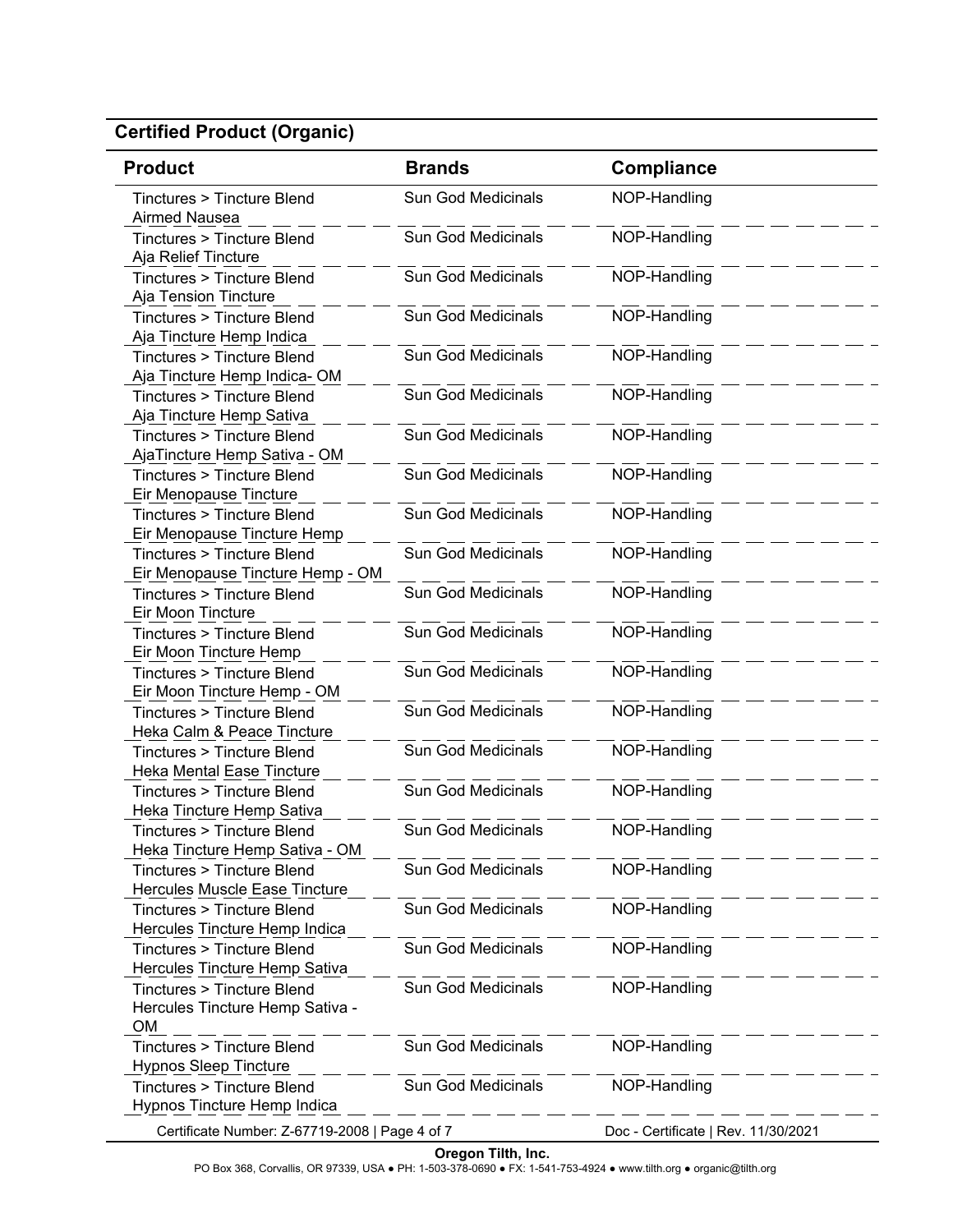| <b>Product</b>                                                                | <b>Brands</b>             | <b>Compliance</b>                   |
|-------------------------------------------------------------------------------|---------------------------|-------------------------------------|
| Tinctures > Tincture Blend<br><b>Airmed Nausea</b>                            | <b>Sun God Medicinals</b> | NOP-Handling                        |
| <b>Tinctures &gt; Tincture Blend</b><br>Aja Relief Tincture                   | <b>Sun God Medicinals</b> | NOP-Handling                        |
| Tinctures > Tincture Blend<br>Aja Tension Tincture                            | <b>Sun God Medicinals</b> | NOP-Handling                        |
| Tinctures > Tincture Blend<br>Aja Tincture Hemp Indica                        | <b>Sun God Medicinals</b> | NOP-Handling                        |
| <b>Tinctures &gt; Tincture Blend</b><br>Aja Tincture Hemp Indica- OM          | <b>Sun God Medicinals</b> | NOP-Handling                        |
| <b>Tinctures &gt; Tincture Blend</b><br>Aja Tincture Hemp Sativa              | <b>Sun God Medicinals</b> | NOP-Handling                        |
| <b>Tinctures &gt; Tincture Blend</b><br>AjaTincture Hemp Sativa - OM          | Sun God Medicinals        | NOP-Handling                        |
| <b>Tinctures &gt; Tincture Blend</b><br>Eir Menopause Tincture                | <b>Sun God Medicinals</b> | NOP-Handling                        |
| <b>Tinctures &gt; Tincture Blend</b><br>Eir Menopause Tincture Hemp           | <b>Sun God Medicinals</b> | NOP-Handling                        |
| Tinctures > Tincture Blend<br>Eir Menopause Tincture Hemp - OM                | <b>Sun God Medicinals</b> | NOP-Handling                        |
| <b>Tinctures &gt; Tincture Blend</b><br>Eir Moon Tincture                     | <b>Sun God Medicinals</b> | NOP-Handling                        |
| <b>Tinctures &gt; Tincture Blend</b><br>Eir Moon Tincture Hemp                | <b>Sun God Medicinals</b> | NOP-Handling                        |
| <b>Tinctures &gt; Tincture Blend</b><br>Eir Moon Tincture Hemp - OM           | <b>Sun God Medicinals</b> | NOP-Handling                        |
| <b>Tinctures &gt; Tincture Blend</b><br>Heka Calm & Peace Tincture            | <b>Sun God Medicinals</b> | NOP-Handling                        |
| Tinctures > Tincture Blend<br><b>Heka Mental Ease Tincture</b>                | <b>Sun God Medicinals</b> | NOP-Handling                        |
| Tinctures > Tincture Blend<br>Heka Tincture Hemp Sativa                       | <b>Sun God Medicinals</b> | NOP-Handling                        |
| Tinctures > Tincture Blend<br>Heka Tincture Hemp Sativa - OM                  | <b>Sun God Medicinals</b> | NOP-Handling                        |
| <b>Tinctures &gt; Tincture Blend</b><br><b>Hercules Muscle Ease Tincture</b>  | Sun God Medicinals        | NOP-Handling                        |
| <b>Tinctures &gt; Tincture Blend</b><br>Hercules Tincture Hemp Indica         | <b>Sun God Medicinals</b> | NOP-Handling                        |
| <b>Tinctures &gt; Tincture Blend</b><br>Hercules Tincture Hemp Sativa         | Sun God Medicinals        | NOP-Handling                        |
| <b>Tinctures &gt; Tincture Blend</b><br>Hercules Tincture Hemp Sativa -<br>OM | <b>Sun God Medicinals</b> | NOP-Handling                        |
| <b>Tinctures &gt; Tincture Blend</b><br><b>Hypnos Sleep Tincture</b>          | Sun God Medicinals        | NOP-Handling                        |
| Tinctures > Tincture Blend<br>Hypnos Tincture Hemp Indica                     | Sun God Medicinals        | NOP-Handling                        |
| Certificate Number: Z-67719-2008   Page 4 of 7                                |                           | Doc - Certificate   Rev. 11/30/2021 |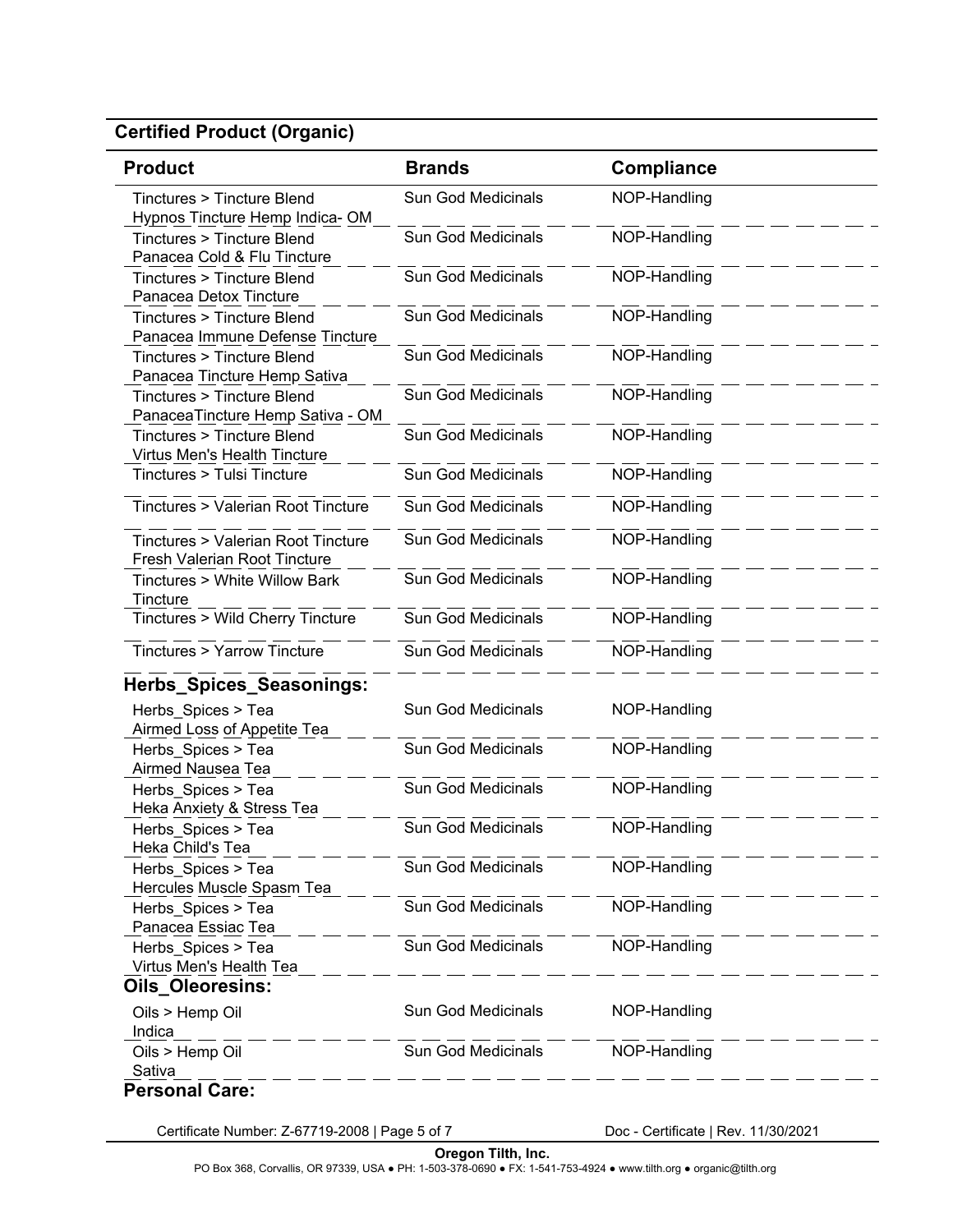| <b>Product</b>                                                           | <b>Brands</b>             | <b>Compliance</b> |
|--------------------------------------------------------------------------|---------------------------|-------------------|
| Tinctures > Tincture Blend<br>Hypnos Tincture Hemp Indica-OM             | <b>Sun God Medicinals</b> | NOP-Handling      |
| Tinctures > Tincture Blend<br>Panacea Cold & Flu Tincture                | <b>Sun God Medicinals</b> | NOP-Handling      |
| <b>Tinctures &gt; Tincture Blend</b><br>Panacea Detox Tincture           | <b>Sun God Medicinals</b> | NOP-Handling      |
| Tinctures > Tincture Blend<br>Panacea Immune Defense Tincture            | <b>Sun God Medicinals</b> | NOP-Handling      |
| <b>Tinctures &gt; Tincture Blend</b><br>Panacea Tincture Hemp Sativa     | <b>Sun God Medicinals</b> | NOP-Handling      |
| <b>Tinctures &gt; Tincture Blend</b><br>PanaceaTincture Hemp Sativa - OM | <b>Sun God Medicinals</b> | NOP-Handling      |
| <b>Tinctures &gt; Tincture Blend</b><br>Virtus Men's Health Tincture     | <b>Sun God Medicinals</b> | NOP-Handling      |
| <b>Tinctures &gt; Tulsi Tincture</b>                                     | <b>Sun God Medicinals</b> | NOP-Handling      |
| Tinctures > Valerian Root Tincture                                       | <b>Sun God Medicinals</b> | NOP-Handling      |
| Tinctures > Valerian Root Tincture<br>Fresh Valerian Root Tincture       | <b>Sun God Medicinals</b> | NOP-Handling      |
| Tinctures > White Willow Bark<br>Tincture                                | <b>Sun God Medicinals</b> | NOP-Handling      |
| Tinctures > Wild Cherry Tincture                                         | Sun God Medicinals        | NOP-Handling      |
| <b>Tinctures &gt; Yarrow Tincture</b>                                    | <b>Sun God Medicinals</b> | NOP-Handling      |
| Herbs_Spices_Seasonings:                                                 |                           |                   |
| Herbs Spices > Tea<br>Airmed Loss of Appetite Tea                        | Sun God Medicinals        | NOP-Handling      |
| Herbs_Spices > Tea<br>Airmed Nausea Tea                                  | <b>Sun God Medicinals</b> | NOP-Handling      |
| Herbs_Spices > Tea<br>Heka Anxiety & Stress Tea                          | <b>Sun God Medicinals</b> | NOP-Handling      |
| Herbs_Spices > Tea<br>Heka Child's Tea                                   | <b>Sun God Medicinals</b> | NOP-Handling      |
| Herbs Spices > Tea<br>Hercules Muscle Spasm Tea                          | Sun God Medicinals        | NOP-Handling      |
| Herbs_Spices > Tea<br>Panacea Essiac Tea                                 | Sun God Medicinals        | NOP-Handling      |
| Herbs_Spices > Tea<br>Virtus Men's Health Tea                            | Sun God Medicinals        | NOP-Handling      |
| Oils_Oleoresins:                                                         |                           |                   |
| Oils > Hemp Oil<br>Indica                                                | Sun God Medicinals        | NOP-Handling      |
| Oils > Hemp Oil<br>Sativa<br>Parsonal Cara:                              | Sun God Medicinals        | NOP-Handling      |

**Personal Care:**

Certificate Number: Z-67719-2008 | Page 5 of 7 Doc - Certificate | Rev. 11/30/2021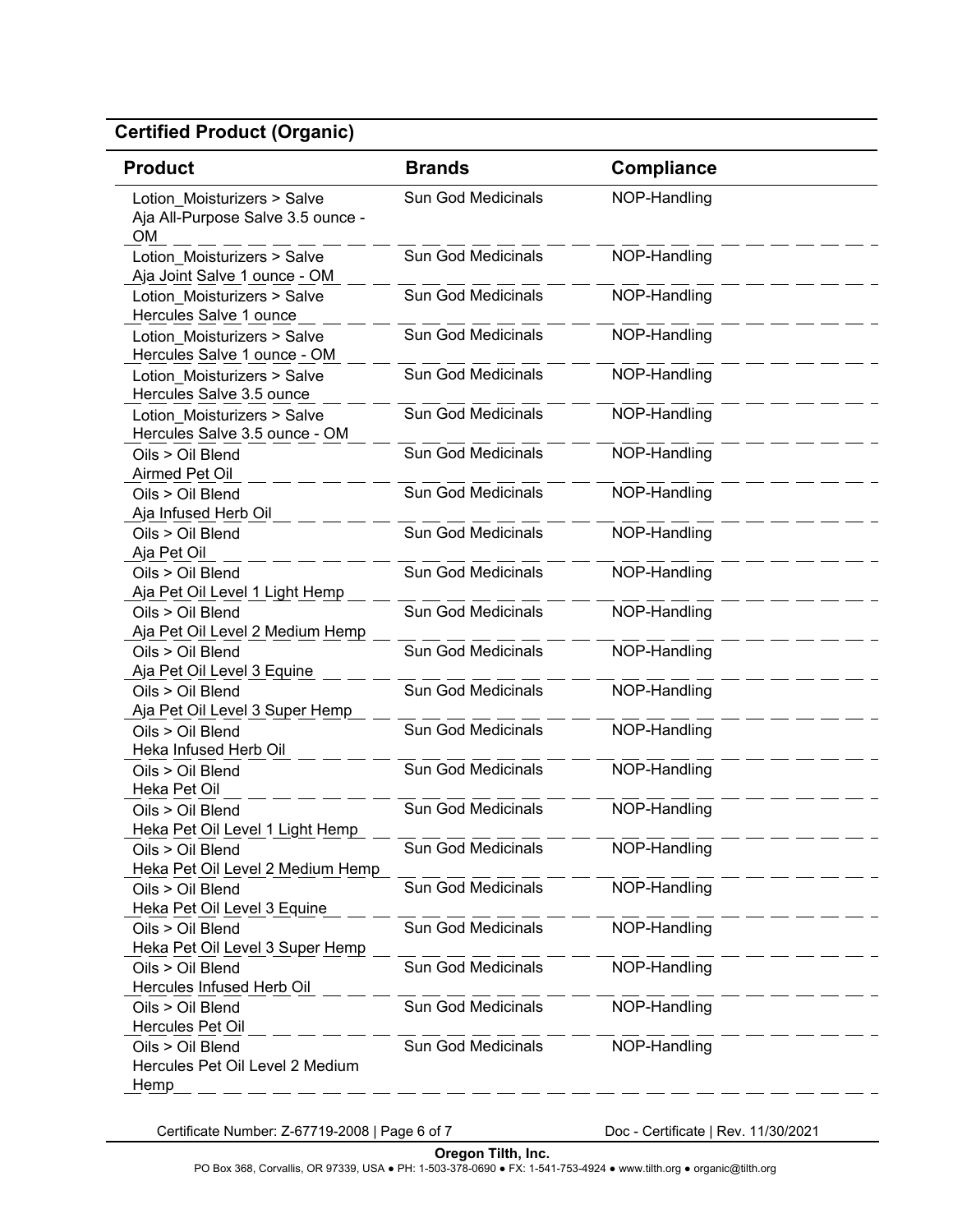| <b>Product</b>                                                          | <b>Brands</b>             | <b>Compliance</b> |
|-------------------------------------------------------------------------|---------------------------|-------------------|
| Lotion Moisturizers > Salve<br>Aja All-Purpose Salve 3.5 ounce -<br>OM. | <b>Sun God Medicinals</b> | NOP-Handling      |
| Lotion Moisturizers > Salve<br>Aja Joint Salve 1 ounce - OM             | Sun God Medicinals        | NOP-Handling      |
| Lotion Moisturizers > Salve<br>Hercules Salve 1 ounce                   | <b>Sun God Medicinals</b> | NOP-Handling      |
| Lotion Moisturizers > Salve<br>Hercules Salve 1 ounce - OM              | <b>Sun God Medicinals</b> | NOP-Handling      |
| Lotion Moisturizers > Salve<br>Hercules Salve 3.5 ounce                 | <b>Sun God Medicinals</b> | NOP-Handling      |
| Lotion Moisturizers > Salve<br>Hercules Salve 3.5 ounce - OM            | <b>Sun God Medicinals</b> | NOP-Handling      |
| Oils > Oil Blend<br>Airmed Pet Oil                                      | <b>Sun God Medicinals</b> | NOP-Handling      |
| Oils > Oil Blend<br>Aja Infused Herb Oil                                | <b>Sun God Medicinals</b> | NOP-Handling      |
| Oils > Oil Blend<br>Aja Pet Oil                                         | <b>Sun God Medicinals</b> | NOP-Handling      |
| Oils > Oil Blend                                                        | <b>Sun God Medicinals</b> | NOP-Handling      |
| Aja Pet Oil Level 1 Light Hemp<br>Oils > Oil Blend                      | <b>Sun God Medicinals</b> | NOP-Handling      |
| Aja Pet Oil Level 2 Medium Hemp<br>Oils > Oil Blend                     | <b>Sun God Medicinals</b> | NOP-Handling      |
| Aja Pet Oil Level 3 Equine<br>Oils > Oil Blend                          | <b>Sun God Medicinals</b> | NOP-Handling      |
| Aja Pet Oil Level 3 Super Hemp<br>Oils > Oil Blend                      | <b>Sun God Medicinals</b> | NOP-Handling      |
| Heka Infused Herb Oil<br>Oils > Oil Blend                               | <b>Sun God Medicinals</b> | NOP-Handling      |
| Heka Pet Oil<br>Oils > Oil Blend                                        | <b>Sun God Medicinals</b> | NOP-Handling      |
| Heka Pet Oil Level 1 Light Hemp<br>Oils > Oil Blend                     | Sun God Medicinals        | NOP-Handling      |
| Heka Pet Oil Level 2 Medium Hemp<br>Oils > Oil Blend                    | <b>Sun God Medicinals</b> | NOP-Handling      |
| Heka Pet Oil Level 3 Equine<br>Oils > Oil Blend                         | Sun God Medicinals        | NOP-Handling      |
| Heka Pet Oil Level 3 Super Hemp<br>Oils > Oil Blend                     | Sun God Medicinals        | NOP-Handling      |
| Hercules Infused Herb Oil<br>Oils > Oil Blend                           | <b>Sun God Medicinals</b> | NOP-Handling      |
| Hercules Pet Oil<br>Oils > Oil Blend                                    | Sun God Medicinals        | NOP-Handling      |
| Hercules Pet Oil Level 2 Medium<br>Hemp                                 |                           |                   |

Certificate Number: Z-67719-2008 | Page 6 of 7 Doc - Certificate | Rev. 11/30/2021